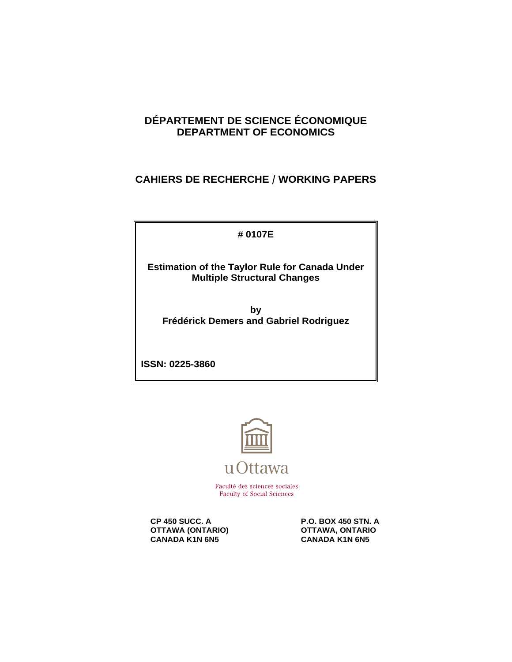## **DÉPARTEMENT DE SCIENCE ÉCONOMIQUE DEPARTMENT OF ECONOMICS**

## **CAHIERS DE RECHERCHE / WORKING PAPERS**

**# 0107E**

**Estimation of the Taylor Rule for Canada Under Multiple Structural Changes**

**by Frédérick Demers and Gabriel Rodriguez**

**ISSN: 0225-3860**



Faculté des sciences sociales **Faculty of Social Sciences** 

**OTTAWA (ONTARIO) CANADA KANA CANADA KANA GANADA KANA GANADA KANA GANADA KANA GANADA KANA GANADA KANA GANADA KANA GANADA KANA GANADA KANA GANADA KANA GANADA KANA GANADA KANA GANADA KANA GANADA KANA GANADA KANA GANADA KANA CANADA K1N 6N5** 

**CP 450 SUCC. A P.O. BOX 450 STN. A**<br> **P.O. BOX 450 STN. A** OTTAWA, ONTARIO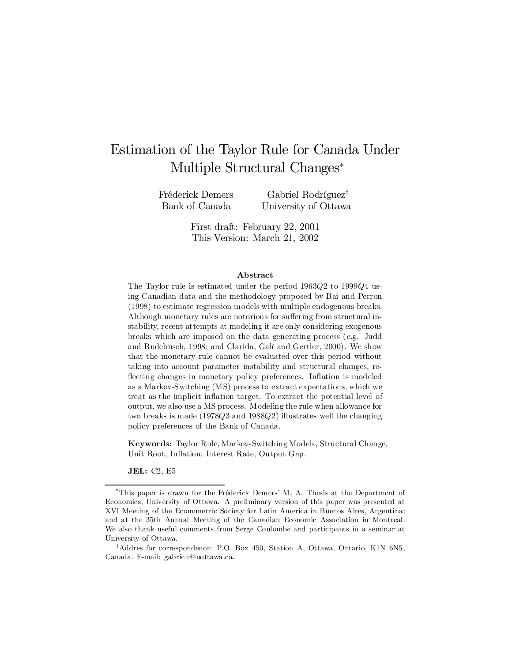# Estimation of the Taylor Rule for Canada Under Multiple Structural Changes<sup>\*</sup>

Fréderick Demers Bank of Canada

Gabriel Rodríguez<sup>†</sup> University of Ottawa

First draft: February 22, 2001 This Version: March 21, 2002

#### Abstract

The Taylor rule is estimated under the period 1963Q2 to 1999Q4 using Canadian data and the methodology proposed by Bai and Perron (1998) to estimate regression models with multiple endogenous breaks. Although monetary rules are notorious for suffering from structural instability, recent attempts at modeling it are only considering exogenous breaks which are imposed on the data generating process (e.g. Judd and Rudebusch, 1998; and Clarida, Galí and Gertler, 2000). We show that the monetary rule cannot be evaluated over this period without taking into account parameter instability and structural changes, re flecting changes in monetary policy preferences. Inflation is modeled as a Markov-Switching (MS) process to extract expectations, which we treat as the implicit in‡ation target. To extract the potential level of output, we also use a MS process. Modeling the rule when allowance for two breaks is made  $(1978Q3 \text{ and } 1988Q2)$  illustrates well the changing policy preferences of the Bank of Canada.

Keywords: Taylor Rule, Markov-Switching Models, Structural Change, Unit Root, Inflation, Interest Rate, Output Gap.

JEL: C2, E5

<sup>¤</sup>This paper is drawn for the Fréderick Demers' M. A. Thesis at the Department of Economics, University of Ottawa. A preliminary version of this paper was presented at XVI Meeting of the Econometric Society for Latin America in Buenos Aires, Argentina; and at the 35th Annual Meeting of the Canadian Economic Association in Montreal. We also thank useful comments from Serge Coulombe and participants in a seminar at University of Ottawa.

<sup>&</sup>lt;sup>†</sup>Addres for correspondence: P.O. Box 450, Station A, Ottawa, Ontario, K1N 6N5, Canada. E-mail: gabrielr@uottawa.ca.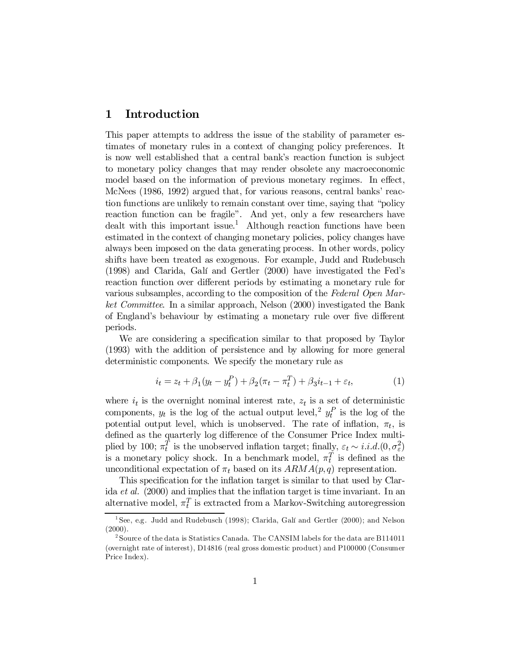## 1 Introduction

This paper attempts to address the issue of the stability of parameter estimates of monetary rules in a context of changing policy preferences. It is now well established that a central bank's reaction function is subject to monetary policy changes that may render obsolete any macroeconomic model based on the information of previous monetary regimes. In effect, McNees (1986, 1992) argued that, for various reasons, central banks' reaction functions are unlikely to remain constant over time, saying that "policy reaction function can be fragile". And yet, only a few researchers have dealt with this important issue.<sup>1</sup> Although reaction functions have been estimated in the context of changing monetary policies, policy changes have always been imposed on the data generating process. In other words, policy shifts have been treated as exogenous. For example, Judd and Rudebusch (1998) and Clarida, Galí and Gertler (2000) have investigated the Fed's reaction function over different periods by estimating a monetary rule for various subsamples, according to the composition of the Federal Open Market Committee. In a similar approach, Nelson (2000) investigated the Bank of England's behaviour by estimating a monetary rule over five different periods.

We are considering a specification similar to that proposed by Taylor (1993) with the addition of persistence and by allowing for more general deterministic components. We specify the monetary rule as

$$
i_t = z_t + \beta_1 (y_t - y_t^P) + \beta_2 (\pi_t - \pi_t^T) + \beta_3 i_{t-1} + \varepsilon_t,
$$
\n(1)

where  $i_t$  is the overnight nominal interest rate,  $z_t$  is a set of deterministic components,  $y_t$  is the log of the actual output level,<sup>2</sup>  $y_t^P$  is the log of the potential output level, which is unobserved. The rate of inflation,  $\pi_t$ , is defined as the quarterly log difference of the Consumer Price Index multiplied by 100;  $\pi_t^T$  is the unobserved inflation target; finally,  $\varepsilon_t \sim i.i.d. (0, \sigma_{\varepsilon}^2)$ is a monetary policy shock. In a benchmark model,  $\pi_t^T$  is defined as the unconditional expectation of  $\pi_t$  based on its  $ARMA(p, q)$  representation.

This specification for the inflation target is similar to that used by Clarida et al. (2000) and implies that the inflation target is time invariant. In an alternative model,  $\pi_t^T$  is extracted from a Markov-Switching autoregression

<sup>&</sup>lt;sup>1</sup> See, e.g. Judd and Rudebusch (1998); Clarida, Galí and Gertler (2000); and Nelson  $(2000)$ .

<sup>&</sup>lt;sup>2</sup> Source of the data is Statistics Canada. The CANSIM labels for the data are B114011 (overnight rate of interest), D14816 (real gross domestic product) and P100000 (Consumer Price Index).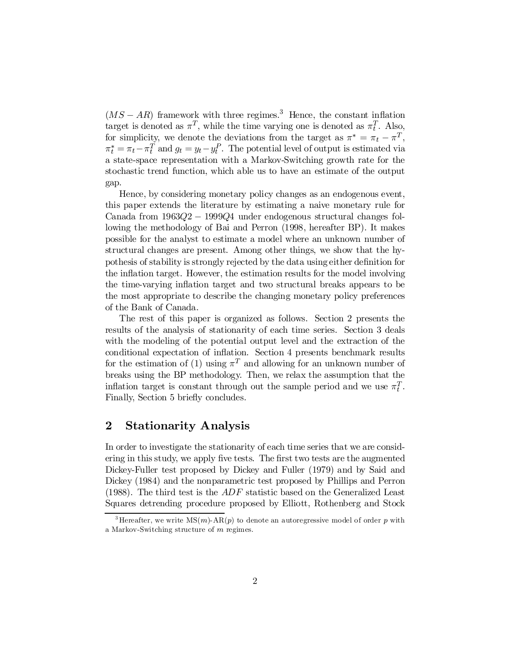$(MS - AR)$  framework with three regimes.<sup>3</sup> Hence, the constant inflation target is denoted as  $\pi^T$ , while the time varying one is denoted as  $\pi_t^T$ . Also, for simplicity, we denote the deviations from the target as  $\pi^* = \pi_t - \pi^T$ ,  $\pi_t^* = \pi_t - \pi_t^T$  and  $g_t = y_t - y_t^P$ . The potential level of output is estimated via a state-space representation with a Markov-Switching growth rate for the stochastic trend function, which able us to have an estimate of the output gap.

Hence, by considering monetary policy changes as an endogenous event, this paper extends the literature by estimating a naive monetary rule for Canada from  $1963Q2 - 1999Q4$  under endogenous structural changes following the methodology of Bai and Perron (1998, hereafter BP). It makes possible for the analyst to estimate a model where an unknown number of structural changes are present. Among other things, we show that the hypothesis of stability is strongly rejected by the data using either definition for the inflation target. However, the estimation results for the model involving the time-varying in‡ation target and two structural breaks appears to be the most appropriate to describe the changing monetary policy preferences of the Bank of Canada.

The rest of this paper is organized as follows. Section 2 presents the results of the analysis of stationarity of each time series. Section 3 deals with the modeling of the potential output level and the extraction of the conditional expectation of inflation. Section 4 presents benchmark results for the estimation of (1) using  $\pi^{T}$  and allowing for an unknown number of breaks using the BP methodology. Then, we relax the assumption that the inflation target is constant through out the sample period and we use  $\pi_t^T$ . Finally, Section 5 briefly concludes.

### 2 Stationarity Analysis

In order to investigate the stationarity of each time series that we are considering in this study, we apply five tests. The first two tests are the augmented Dickey-Fuller test proposed by Dickey and Fuller (1979) and by Said and Dickey (1984) and the nonparametric test proposed by Phillips and Perron (1988). The third test is the  $ADF$  statistic based on the Generalized Least Squares detrending procedure proposed by Elliott, Rothenberg and Stock

<sup>&</sup>lt;sup>3</sup> Hereafter, we write  $MS(m)$ -AR $(p)$  to denote an autoregressive model of order p with a Markov-Switching structure of m regimes.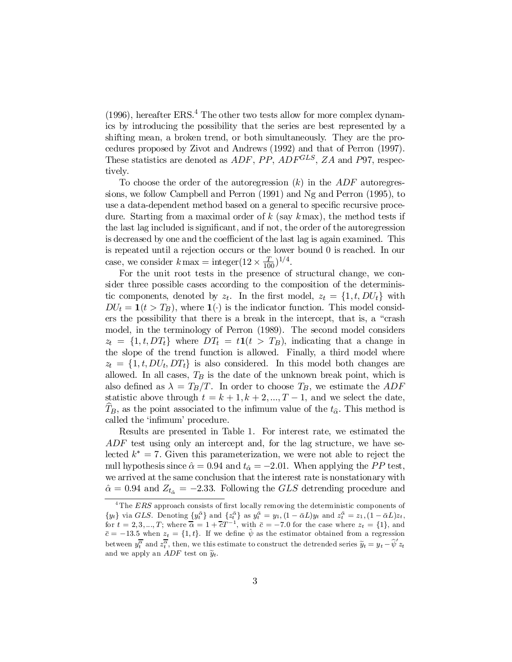$(1996)$ , hereafter ERS.<sup>4</sup> The other two tests allow for more complex dynamics by introducing the possibility that the series are best represented by a shifting mean, a broken trend, or both simultaneously. They are the procedures proposed by Zivot and Andrews (1992) and that of Perron (1997). These statistics are denoted as  $ADF$ ,  $PP$ ,  $ADF^{GLS}$ ,  $ZA$  and P97, respectively.

To choose the order of the autoregression  $(k)$  in the  $ADF$  autoregressions, we follow Campbell and Perron (1991) and Ng and Perron (1995), to use a data-dependent method based on a general to specific recursive procedure. Starting from a maximal order of  $k$  (say  $k$  max), the method tests if the last lag included is significant, and if not, the order of the autoregression is decreased by one and the coefficient of the last lag is again examined. This is repeated until a rejection occurs or the lower bound 0 is reached. In our case, we consider  $k \max = \text{integer}(12 \times \frac{T}{10})$  $(\frac{T}{100})^{1/4}.$ 

For the unit root tests in the presence of structural change, we consider three possible cases according to the composition of the deterministic components, denoted by  $z_t$ . In the first model,  $z_t = \{1, t, DU_t\}$  with  $DU_t = \mathbf{1}(t > T_B)$ , where  $\mathbf{1}(\cdot)$  is the indicator function. This model considers the possibility that there is a break in the intercept, that is, a "crash model, in the terminology of Perron (1989). The second model considers  $z_t = \{1, t, DT_t\}$  where  $DT_t = t1(t > T_B)$ , indicating that a change in the slope of the trend function is allowed. Finally, a third model where  $z_t = \{1, t, DU_t, DT_t\}$  is also considered. In this model both changes are allowed. In all cases,  $T_B$  is the date of the unknown break point, which is also defined as  $\lambda = T_B/T$ . In order to choose  $T_B$ , we estimate the ADF statistic above through  $t = k + 1, k + 2, ..., T - 1$ , and we select the date,  $T_B$ , as the point associated to the infimum value of the  $t_{\hat{\alpha}}$ . This method is called the 'infimum' procedure.

Results are presented in Table 1. For interest rate, we estimated the ADF test using only an intercept and, for the lag structure, we have selected  $k^* = 7$ . Given this parameterization, we were not able to reject the null hypothesis since  $\hat{\alpha} = 0.94$  and  $t_{\hat{\alpha}} = -2.01$ . When applying the PP test, we arrived at the same conclusion that the interest rate is nonstationary with  $\hat{\alpha} = 0.94$  and  $Z_{t_{\hat{\alpha}}} = -2.33$ . Following the GLS detrending procedure and

 $4$ The ERS approach consists of first locally removing the deterministic components of  $\{y_t\}$  via *GLS*. Denoting  $\{y_t^{\bar{\alpha}}\}$  and  $\{z_t^{\bar{\alpha}}\}$  as  $y_t^{\bar{\alpha}} = y_1$ ,  $(1 - \bar{\alpha}L)y_t$  and  $z_t^{\bar{\alpha}} = z_1$ ,  $(1 - \bar{\alpha}L)z_t$ , for  $t = 2, 3, ..., T$ ; where  $\overline{\alpha} = 1 + \overline{c}T^{-1}$ , with  $\overline{c} = -7.0$  for the case where  $z_t = \{1\}$ , and  $\bar{c} = -13.5$  when  $z_t = \{1, t\}$ . If we define  $\hat{\psi}$  as the estimator obtained from a regression between  $y_t^{\overline{\alpha}}$  and  $z_t^{\overline{\alpha}}$ , then, we this estimate to construct the detrended series  $\widetilde{y}_t = y_t - \widehat{\psi}' z_t$ and we apply an ADF test on  $\widetilde{y}_t$ .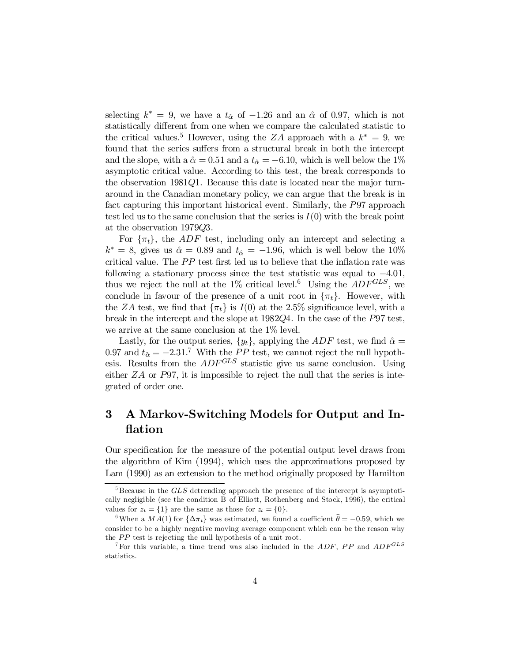selecting  $k^* = 9$ , we have a  $t_{\hat{\alpha}}$  of  $-1.26$  and an  $\hat{\alpha}$  of 0.97, which is not statistically different from one when we compare the calculated statistic to the critical values.<sup>5</sup> However, using the ZA approach with a  $k^* = 9$ , we found that the series suffers from a structural break in both the intercept and the slope, with a  $\hat{\alpha} = 0.51$  and a  $t_{\hat{\alpha}} = -6.10$ , which is well below the 1% asymptotic critical value. According to this test, the break corresponds to the observation  $1981Q1$ . Because this date is located near the major turnaround in the Canadian monetary policy, we can argue that the break is in fact capturing this important historical event. Similarly, the P97 approach test led us to the same conclusion that the series is  $I(0)$  with the break point at the observation 1979Q3.

For  $\{\pi_t\}$ , the *ADF* test, including only an intercept and selecting a  $k^* = 8$ , gives us  $\hat{\alpha} = 0.89$  and  $t_{\hat{\alpha}} = -1.96$ , which is well below the 10% critical value. The  $PP$  test first led us to believe that the inflation rate was following a stationary process since the test statistic was equal to  $-4.01$ , thus we reject the null at the 1% critical level.<sup>6</sup> Using the  $ADF^{GLS}$ , we conclude in favour of the presence of a unit root in  $\{\pi_t\}$ . However, with the ZA test, we find that  $\{\pi_t\}$  is  $I(0)$  at the 2.5% significance level, with a break in the intercept and the slope at 1982Q4. In the case of the P97 test, we arrive at the same conclusion at the 1% level.

Lastly, for the output series,  $\{y_t\}$ , applying the ADF test, we find  $\hat{\alpha} =$ 0.97 and  $t_{\hat{\alpha}} = -2.31$ .<sup>7</sup> With the *PP* test, we cannot reject the null hypothesis. Results from the  $ADF^{GLS}$  statistic give us same conclusion. Using either  $ZA$  or P97, it is impossible to reject the null that the series is integrated of order one.

## 3 A Markov-Switching Models for Output and In **flation**

Our specification for the measure of the potential output level draws from the algorithm of Kim (1994), which uses the approximations proposed by Lam (1990) as an extension to the method originally proposed by Hamilton

 $5$ Because in the  $GLS$  detrending approach the presence of the intercept is asymptotically negligible (see the condition B of Elliott, Rothenberg and Stock, 1996), the critical values for  $z_t = \{1\}$  are the same as those for  $z_t = \{0\}.$ 

<sup>&</sup>lt;sup>6</sup>When a  $MA(1)$  for  $\{\Delta \pi_t\}$  was estimated, we found a coefficient  $\hat{\theta} = -0.59$ , which we consider to be a highly negative moving average component which can be the reason why the PP test is rejecting the null hypothesis of a unit root.

<sup>&</sup>lt;sup>7</sup>For this variable, a time trend was also included in the  $ADF$ , PP and  $ADF^{GLS}$ statistics.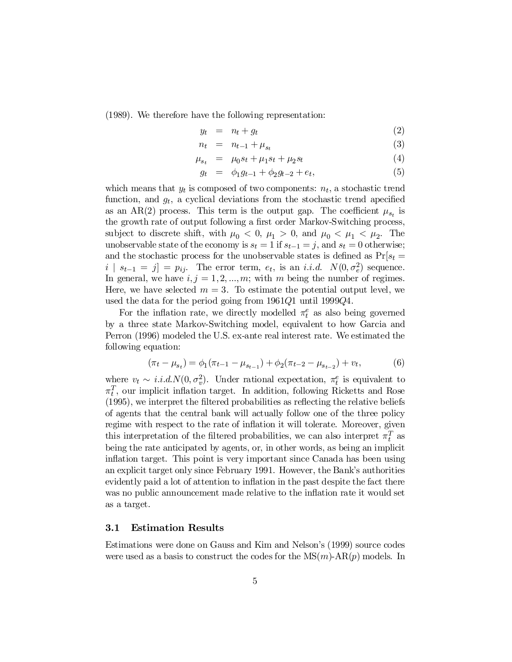(1989). We therefore have the following representation:

$$
y_t = n_t + g_t \tag{2}
$$

$$
n_t = n_{t-1} + \mu_{s_t} \tag{3}
$$

$$
\mu_{s_t} = \mu_0 s_t + \mu_1 s_t + \mu_2 s_t \tag{4}
$$

$$
g_t = \phi_1 g_{t-1} + \phi_2 g_{t-2} + e_t, \tag{5}
$$

which means that  $y_t$  is composed of two components:  $n_t$ , a stochastic trend function, and  $g_t$ , a cyclical deviations from the stochastic trend apecified as an AR(2) process. This term is the output gap. The coefficient  $\mu_{s_t}$  is the growth rate of output following a first order Markov-Switching process, subject to discrete shift, with  $\mu_0 < 0$ ,  $\mu_1 > 0$ , and  $\mu_0 < \mu_1 < \mu_2$ . The unobservable state of the economy is  $s_t = 1$  if  $s_{t-1} = j$ , and  $s_t = 0$  otherwise; and the stochastic process for the unobservable states is defined as  $Pr[s_t =$  $i | s_{t-1} = j] = p_{ij}$ . The error term,  $e_t$ , is an *i.i.d.*  $N(0, \sigma_e^2)$  sequence. In general, we have  $i, j = 1, 2, ..., m$ ; with m being the number of regimes. Here, we have selected  $m = 3$ . To estimate the potential output level, we used the data for the period going from 1961Q1 until 1999Q4.

For the inflation rate, we directly modelled  $\pi_t^e$  as also being governed by a three state Markov-Switching model, equivalent to how Garcia and Perron (1996) modeled the U.S. ex-ante real interest rate. We estimated the following equation:

$$
(\pi_t - \mu_{s_t}) = \phi_1(\pi_{t-1} - \mu_{s_{t-1}}) + \phi_2(\pi_{t-2} - \mu_{s_{t-2}}) + v_t,
$$
(6)

where  $v_t \sim i.i.d. N(0, \sigma_v^2)$ . Under rational expectation,  $\pi_t^e$  is equivalent to  $\pi_t^T$ , our implicit inflation target. In addition, following Ricketts and Rose  $(1995)$ , we interpret the filtered probabilities as reflecting the relative beliefs of agents that the central bank will actually follow one of the three policy regime with respect to the rate of inflation it will tolerate. Moreover, given this interpretation of the filtered probabilities, we can also interpret  $\pi_t^T$  as being the rate anticipated by agents, or, in other words, as being an implicit inflation target. This point is very important since Canada has been using an explicit target only since February 1991. However, the Bank's authorities evidently paid a lot of attention to inflation in the past despite the fact there was no public announcement made relative to the inflation rate it would set as a target.

#### 3.1 Estimation Results

Estimations were done on Gauss and Kim and Nelson's (1999) source codes were used as a basis to construct the codes for the  $MS(m)\text{-}AR(p)$  models. In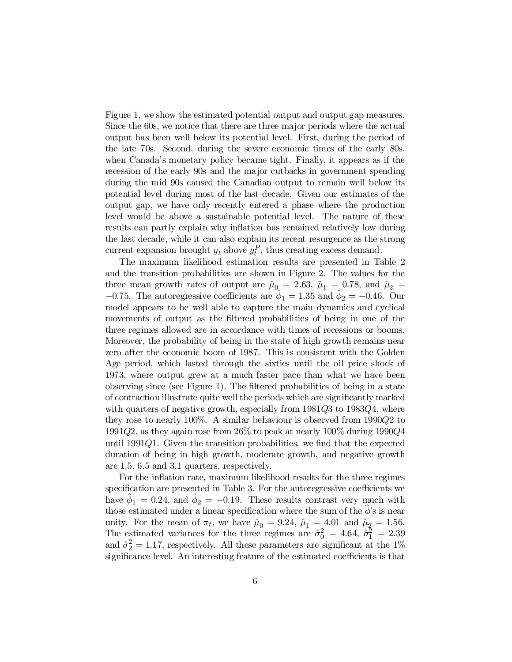Figure 1, we show the estimated potential output and output gap measures. Since the 60s, we notice that there are three major periods where the actual output has been well below its potential level. First, during the period of the late 70s. Second, during the severe economic times of the early 80s, when Canada's monetary policy became tight. Finally, it appears as if the recession of the early 90s and the major cutbacks in government spending during the mid 90s caused the Canadian output to remain well below its potential level during most of the last decade. Given our estimates of the output gap, we have only recently entered a phase where the production level would be above a sustainable potential level. The nature of these results can partly explain why inflation has remained relatively low during the last decade, while it can also explain its recent resurgence as the strong current expansion brought  $y_t$  above  $y_t^P$ , thus creating excess demand.

The maximum likelihood estimation results are presented in Table 2 and the transition probabilities are shown in Figure 2. The values for the three mean growth rates of output are  $\hat{\mu}_0 = 2.63$ ,  $\hat{\mu}_1 = 0.78$ , and  $\hat{\mu}_2 =$  $-0.75$ . The autoregressive coefficients are  $\hat{\phi}_1 = 1.35$  and  $\hat{\phi}_2 = -0.46$ . Our model appears to be well able to capture the main dynamics and cyclical movements of output as the filtered probabilities of being in one of the three regimes allowed are in accordance with times of recessions or booms. Moreover, the probability of being in the state of high growth remains near zero after the economic boom of 1987. This is consistent with the Golden Age period, which lasted through the sixties until the oil price shock of 1973, where output grew at a much faster pace than what we have been observing since (see Figure 1). The filtered probabilities of being in a state of contraction illustrate quite well the periods which are significantly marked with quarters of negative growth, especially from 1981Q3 to 1983Q4, where they rose to nearly 100%. A similar behaviour is observed from 1990Q2 to 1991Q2, as they again rose from 26% to peak at nearly 100% during 1990Q4 until 1991 $Q$ 1. Given the transition probabilities, we find that the expected duration of being in high growth, moderate growth, and negative growth are 1.5, 6.5 and 3.1 quarters, respectively.

For the inflation rate, maximum likelihood results for the three regimes specification are presented in Table 3. For the autoregressive coefficients we have  $\hat{\phi}_1 = 0.24$ , and  $\hat{\phi}_2 = -0.19$ . These results contrast very much with those estimated under a linear specification where the sum of the  $\phi$ 's is near unity. For the mean of  $\pi_t$ , we have  $\hat{\mu}_0 = 9.24$ ,  $\hat{\mu}_1 = 4.01$  and  $\hat{\mu}_2 = 1.56$ . The estimated variances for the three regimes are  $\hat{\sigma}_0^2 = 4.64$ ,  $\hat{\sigma}_1^2 = 2.39$ and  $\hat{\sigma}_2^2 = 1.17$ , respectively. All these parameters are significant at the 1% significance level. An interesting feature of the estimated coefficients is that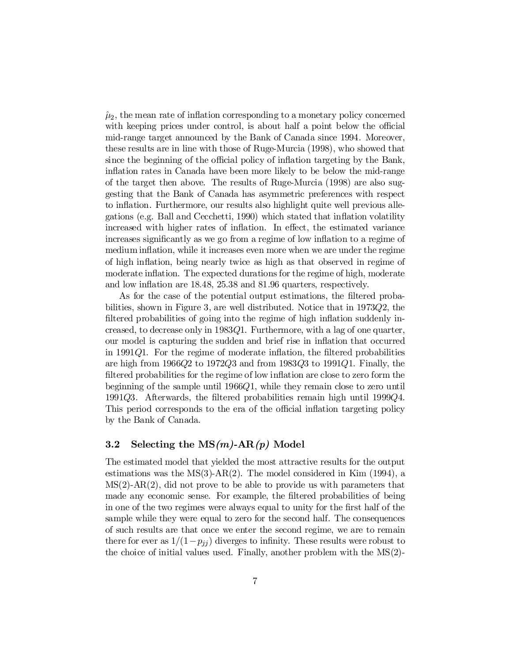$\hat{\mu}_2$ , the mean rate of inflation corresponding to a monetary policy concerned with keeping prices under control, is about half a point below the official mid-range target announced by the Bank of Canada since 1994. Moreover, these results are in line with those of Ruge-Murcia (1998), who showed that since the beginning of the official policy of inflation targeting by the Bank, inflation rates in Canada have been more likely to be below the mid-range of the target then above. The results of Ruge-Murcia (1998) are also suggesting that the Bank of Canada has asymmetric preferences with respect to inflation. Furthermore, our results also highlight quite well previous allegations (e.g. Ball and Cecchetti, 1990) which stated that in‡ation volatility increased with higher rates of inflation. In effect, the estimated variance increases significantly as we go from a regime of low inflation to a regime of medium inflation, while it increases even more when we are under the regime of high in‡ation, being nearly twice as high as that observed in regime of moderate inflation. The expected durations for the regime of high, moderate and low inflation are 18.48, 25.38 and 81.96 quarters, respectively.

As for the case of the potential output estimations, the filtered probabilities, shown in Figure 3, are well distributed. Notice that in 1973Q2; the filtered probabilities of going into the regime of high inflation suddenly increased, to decrease only in 1983Q1. Furthermore, with a lag of one quarter, our model is capturing the sudden and brief rise in in‡ation that occurred in 1991 $Q$ 1. For the regime of moderate inflation, the filtered probabilities are high from  $1966Q2$  to  $1972Q3$  and from  $1983Q3$  to  $1991Q1$ . Finally, the filtered probabilities for the regime of low inflation are close to zero form the beginning of the sample until  $1966Q1$ , while they remain close to zero until 1991 $Q3$ . Afterwards, the filtered probabilities remain high until 1999 $Q4$ . This period corresponds to the era of the official inflation targeting policy by the Bank of Canada.

#### 3.2 Selecting the  $MS(m)$ -AR $(p)$  Model

The estimated model that yielded the most attractive results for the output estimations was the  $MS(3)$ -AR(2). The model considered in Kim (1994), a  $MS(2)$ - $AR(2)$ , did not prove to be able to provide us with parameters that made any economic sense. For example, the filtered probabilities of being in one of the two regimes were always equal to unity for the first half of the sample while they were equal to zero for the second half. The consequences of such results are that once we enter the second regime, we are to remain there for ever as  $1/(1-p_{jj})$  diverges to infinity. These results were robust to the choice of initial values used. Finally, another problem with the MS(2)-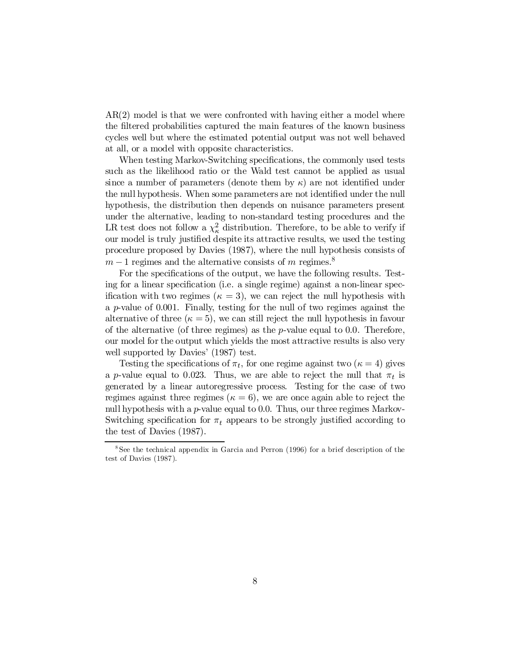AR(2) model is that we were confronted with having either a model where the filtered probabilities captured the main features of the known business cycles well but where the estimated potential output was not well behaved at all, or a model with opposite characteristics.

When testing Markov-Switching specifications, the commonly used tests such as the likelihood ratio or the Wald test cannot be applied as usual since a number of parameters (denote them by  $\kappa$ ) are not identified under the null hypothesis. When some parameters are not identified under the null hypothesis, the distribution then depends on nuisance parameters present under the alternative, leading to non-standard testing procedures and the LR test does not follow a  $\chi^2_{\kappa}$  distribution. Therefore, to be able to verify if our model is truly justified despite its attractive results, we used the testing procedure proposed by Davies (1987), where the null hypothesis consists of  $m-1$  regimes and the alternative consists of m regimes.<sup>8</sup>

For the specifications of the output, we have the following results. Testing for a linear specification (i.e. a single regime) against a non-linear specification with two regimes ( $\kappa = 3$ ), we can reject the null hypothesis with a  $p$ -value of 0.001. Finally, testing for the null of two regimes against the alternative of three  $(\kappa = 5)$ , we can still reject the null hypothesis in favour of the alternative (of three regimes) as the  $p$ -value equal to 0.0. Therefore, our model for the output which yields the most attractive results is also very well supported by Davies' (1987) test.

Testing the specifications of  $\pi_t$ , for one regime against two  $(\kappa = 4)$  gives a p-value equal to 0.023. Thus, we are able to reject the null that  $\pi_t$  is generated by a linear autoregressive process. Testing for the case of two regimes against three regimes ( $\kappa = 6$ ), we are once again able to reject the null hypothesis with a  $p$ -value equal to 0.0. Thus, our three regimes Markov-Switching specification for  $\pi_t$  appears to be strongly justified according to the test of Davies (1987).

<sup>&</sup>lt;sup>8</sup>See the technical appendix in Garcia and Perron (1996) for a brief description of the test of Davies (1987).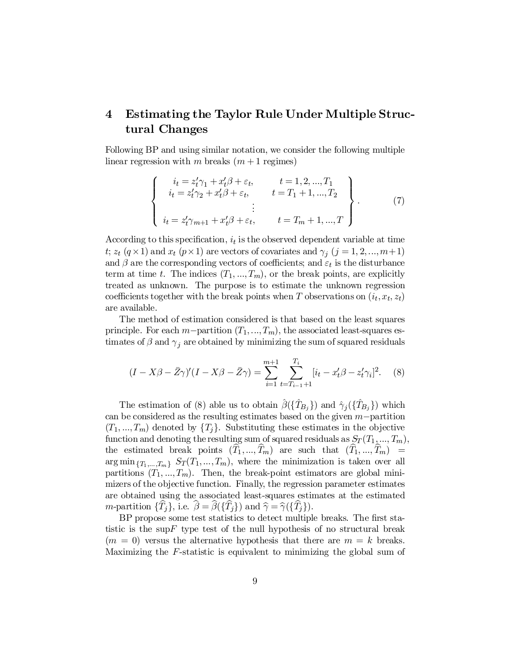## 4 Estimating the Taylor Rule Under Multiple Structural Changes

Following BP and using similar notation, we consider the following multiple linear regression with m breaks  $(m+1$  regimes)

$$
\begin{cases}\n i_t = z'_t \gamma_1 + x'_t \beta + \varepsilon_t, & t = 1, 2, ..., T_1 \\
i_t = z'_t \gamma_2 + x'_t \beta + \varepsilon_t, & t = T_1 + 1, ..., T_2 \\
\vdots & \vdots \\
i_t = z'_t \gamma_{m+1} + x'_t \beta + \varepsilon_t, & t = T_m + 1, ..., T\n\end{cases}
$$
\n(7)

According to this specification,  $i_t$  is the observed dependent variable at time t;  $z_t$  ( $q \times 1$ ) and  $x_t$  ( $p \times 1$ ) are vectors of covariates and  $\gamma_j$  ( $j = 1, 2, ..., m+1$ ) and  $\beta$  are the corresponding vectors of coefficients; and  $\varepsilon_t$  is the disturbance term at time t. The indices  $(T_1, ..., T_m)$ , or the break points, are explicitly treated as unknown. The purpose is to estimate the unknown regression coefficients together with the break points when T observations on  $(i_t, x_t, z_t)$ are available.

The method of estimation considered is that based on the least squares principle. For each m-partition  $(T_1,...,T_m)$ , the associated least-squares estimates of  $\beta$  and  $\gamma_j$  are obtained by minimizing the sum of squared residuals

$$
(I - X\beta - \bar{Z}\gamma)'(I - X\beta - \bar{Z}\gamma) = \sum_{i=1}^{m+1} \sum_{t=T_{i-1}+1}^{T_i} [i_t - x_t'\beta - z_t'\gamma_i]^2.
$$
 (8)

The estimation of (8) able us to obtain  $\hat{\beta}(\{\hat{T}_{B_j}\})$  and  $\hat{\gamma}_j(\{\hat{T}_{B_j}\})$  which can be considered as the resulting estimates based on the given  $m$ -partition  $(T_1, ..., T_m)$  denoted by  $\{T_j\}$ . Substituting these estimates in the objective function and denoting the resulting sum of squared residuals as  $S_T(T_1,...,T_m)$ , the estimated break points  $(T_1,..., T_m)$  are such that  $(T_1,..., T_m)$  =  $\arg \min_{\{T_1,\ldots,T_m\}} S_T(T_1,\ldots,T_m)$ , where the minimization is taken over all partitions  $(T_1, ..., T_m)$ . Then, the break-point estimators are global minimizers of the objective function. Finally, the regression parameter estimates are obtained using the associated least-squares estimates at the estimated m-partition  $\{T_j\}$ , i.e.  $\beta = \beta(\{T_j\})$  and  $\widehat{\gamma} = \widehat{\gamma}(\{T_j\}).$ 

BP propose some test statistics to detect multiple breaks. The first statistic is the sup  $F$  type test of the null hypothesis of no structural break  $(m = 0)$  versus the alternative hypothesis that there are  $m = k$  breaks. Maximizing the F-statistic is equivalent to minimizing the global sum of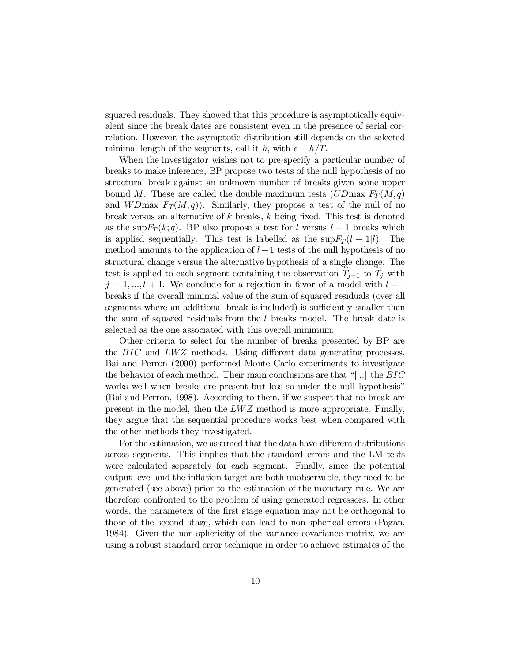squared residuals. They showed that this procedure is asymptotically equivalent since the break dates are consistent even in the presence of serial correlation. However, the asymptotic distribution still depends on the selected minimal length of the segments, call it h, with  $\epsilon = h/T$ .

When the investigator wishes not to pre-specify a particular number of breaks to make inference, BP propose two tests of the null hypothesis of no structural break against an unknown number of breaks given some upper bound M. These are called the double maximum tests  $(UD\text{max }F_T(M,q))$ and  $WD$ max  $F_T(M,q)$ ). Similarly, they propose a test of the null of no break versus an alternative of  $k$  breaks,  $k$  being fixed. This test is denoted as the sup $F_T(k;q)$ . BP also propose a test for l versus  $l+1$  breaks which is applied sequentially. This test is labelled as the  $\sup F_T(l+1|l)$ . The method amounts to the application of  $l + 1$  tests of the null hypothesis of no structural change versus the alternative hypothesis of a single change. The test is applied to each segment containing the observation  $T_{j-1}$  to  $T_j$  with  $j = 1, ..., l + 1$ . We conclude for a rejection in favor of a model with  $l + 1$ breaks if the overall minimal value of the sum of squared residuals (over all segments where an additional break is included) is sufficiently smaller than the sum of squared residuals from the  $l$  breaks model. The break date is selected as the one associated with this overall minimum.

Other criteria to select for the number of breaks presented by BP are the  $BIC$  and  $LWZ$  methods. Using different data generating processes, Bai and Perron (2000) performed Monte Carlo experiments to investigate the behavior of each method. Their main conclusions are that "[...] the  $BIC$ works well when breaks are present but less so under the null hypothesis" (Bai and Perron, 1998). According to them, if we suspect that no break are present in the model, then the LWZ method is more appropriate. Finally, they argue that the sequential procedure works best when compared with the other methods they investigated.

For the estimation, we assumed that the data have different distributions across segments. This implies that the standard errors and the LM tests were calculated separately for each segment. Finally, since the potential output level and the inflation target are both unobservable, they need to be generated (see above) prior to the estimation of the monetary rule. We are therefore confronted to the problem of using generated regressors. In other words, the parameters of the first stage equation may not be orthogonal to those of the second stage, which can lead to non-spherical errors (Pagan, 1984). Given the non-sphericity of the variance-covariance matrix, we are using a robust standard error technique in order to achieve estimates of the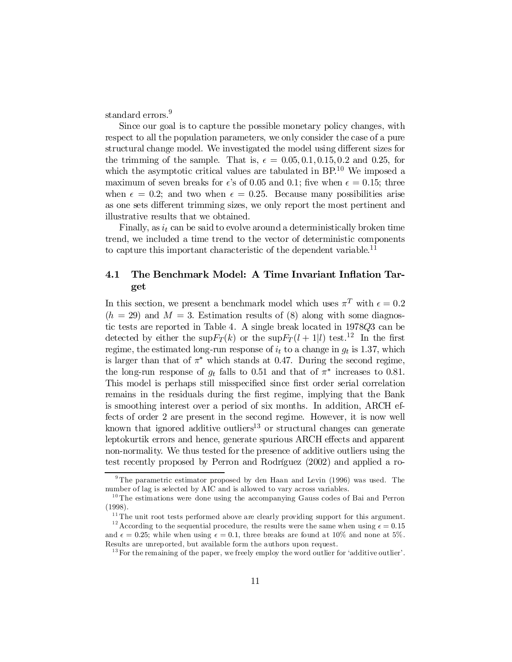standard errors. 9

Since our goal is to capture the possible monetary policy changes, with respect to all the population parameters, we only consider the case of a pure structural change model. We investigated the model using different sizes for the trimming of the sample. That is,  $\epsilon = 0.05, 0.1, 0.15, 0.2$  and 0.25, for which the asymptotic critical values are tabulated in BP.<sup>10</sup> We imposed a maximum of seven breaks for  $\epsilon$ 's of 0.05 and 0.1; five when  $\epsilon = 0.15$ ; three when  $\epsilon = 0.2$ ; and two when  $\epsilon = 0.25$ . Because many possibilities arise as one sets different trimming sizes, we only report the most pertinent and illustrative results that we obtained.

Finally, as  $i_t$  can be said to evolve around a deterministically broken time trend, we included a time trend to the vector of deterministic components to capture this important characteristic of the dependent variable.<sup>11</sup>

### 4.1 The Benchmark Model: A Time Invariant Inflation Target

In this section, we present a benchmark model which uses  $\pi^T$  with  $\epsilon = 0.2$  $(h = 29)$  and  $M = 3$ . Estimation results of (8) along with some diagnostic tests are reported in Table 4. A single break located in 1978Q3 can be detected by either the  $\sup F_T(k)$  or the  $\sup F_T(l+1|l)$  test.<sup>12</sup> In the first regime, the estimated long-run response of  $i_t$  to a change in  $g_t$  is 1.37, which is larger than that of  $\pi^*$  which stands at 0.47. During the second regime, the long-run response of  $g_t$  falls to 0.51 and that of  $\pi^*$  increases to 0.81. This model is perhaps still misspecified since first order serial correlation remains in the residuals during the first regime, implying that the Bank is smoothing interest over a period of six months. In addition, ARCH effects of order 2 are present in the second regime. However, it is now well known that ignored additive outliers<sup>13</sup> or structural changes can generate leptokurtik errors and hence, generate spurious ARCH effects and apparent non-normality. We thus tested for the presence of additive outliers using the test recently proposed by Perron and Rodríguez (2002) and applied a ro-

<sup>&</sup>lt;sup>9</sup> The parametric estimator proposed by den Haan and Levin (1996) was used. The number of lag is selected by AIC and is allowed to vary across variables.

<sup>&</sup>lt;sup>10</sup> The estimations were done using the accompanying Gauss codes of Bai and Perron (1998).

 $11$ <sup>11</sup> The unit root tests performed above are clearly providing support for this argument. <sup>12</sup> According to the sequential procedure, the results were the same when using  $\epsilon = 0.15$ 

and  $\epsilon = 0.25$ ; while when using  $\epsilon = 0.1$ , three breaks are found at 10% and none at 5%. Results are unreported, but available form the authors upon request.

 $13$  For the remaining of the paper, we freely employ the word outlier for 'additive outlier'.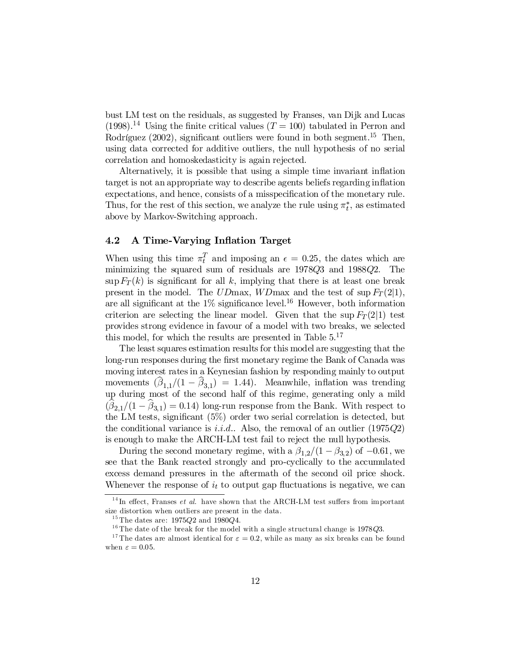bust LM test on the residuals, as suggested by Franses, van Dijk and Lucas  $(1998).$ <sup>14</sup> Using the finite critical values  $(T = 100)$  tabulated in Perron and Rodríguez  $(2002)$ , significant outliers were found in both segment.<sup>15</sup> Then, using data corrected for additive outliers, the null hypothesis of no serial correlation and homoskedasticity is again rejected.

Alternatively, it is possible that using a simple time invariant in‡ation target is not an appropriate way to describe agents beliefs regarding in‡ation expectations, and hence, consists of a misspecification of the monetary rule. Thus, for the rest of this section, we analyze the rule using  $\pi_t^*$ , as estimated above by Markov-Switching approach.

#### 4.2 A Time-Varying Inflation Target

When using this time  $\pi_t^T$  and imposing an  $\epsilon = 0.25$ , the dates which are minimizing the squared sum of residuals are 1978Q3 and 1988Q2. The  $\sup F_T(k)$  is significant for all k, implying that there is at least one break present in the model. The UDmax, WDmax and the test of sup  $F_T(2|1)$ , are all significant at the  $1\%$  significance level.<sup>16</sup> However, both information criterion are selecting the linear model. Given that the sup  $F_T(2|1)$  test provides strong evidence in favour of a model with two breaks, we selected this model, for which the results are presented in Table  $5^{17}$ 

The least squares estimation results for this model are suggesting that the long-run responses during the first monetary regime the Bank of Canada was moving interest rates in a Keynesian fashion by responding mainly to output movements  $(\beta_{1,1}/(1-\beta_{3,1}) = 1.44)$ . Meanwhile, inflation was trending up during most of the second half of this regime, generating only a mild  $(\beta_{2,1}/(1-\beta_{3,1})=0.14)$  long-run response from the Bank. With respect to the LM tests, significant  $(5\%)$  order two serial correlation is detected, but the conditional variance is *i.i.d.*. Also, the removal of an outlier  $(1975Q2)$ is enough to make the ARCH-LM test fail to reject the null hypothesis.

During the second monetary regime, with a  $\beta_{1,2}/(1-\beta_{3,2})$  of  $-0.61$ , we see that the Bank reacted strongly and pro-cyclically to the accumulated excess demand pressures in the aftermath of the second oil price shock. Whenever the response of  $i_t$  to output gap fluctuations is negative, we can

 $14$ In effect, Franses *et al.* have shown that the ARCH-LM test suffers from important size distortion when outliers are present in the data.

 $^{15}\mathrm{The}$  dates are: 1975Q2 and 1980Q4.

 $^{16}\mathrm{The}$  date of the break for the model with a single structural change is 1978Q3.

<sup>&</sup>lt;sup>17</sup> The dates are almost identical for  $\varepsilon = 0.2$ , while as many as six breaks can be found when  $\varepsilon = 0.05$ .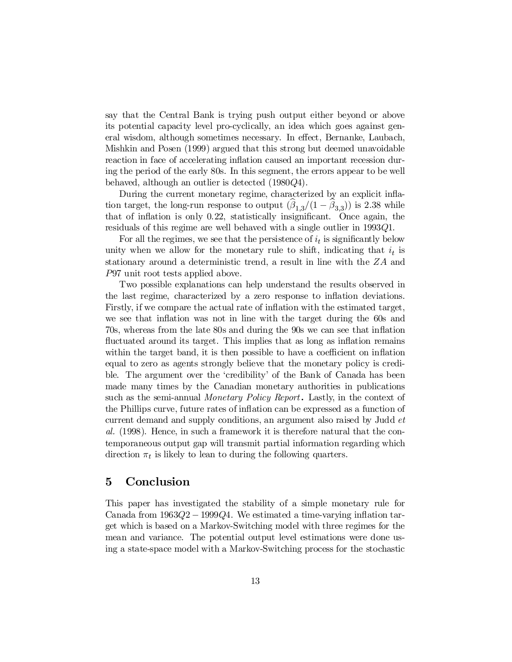say that the Central Bank is trying push output either beyond or above its potential capacity level pro-cyclically, an idea which goes against general wisdom, although sometimes necessary. In effect, Bernanke, Laubach, Mishkin and Posen (1999) argued that this strong but deemed unavoidable reaction in face of accelerating inflation caused an important recession during the period of the early 80s. In this segment, the errors appear to be well behaved, although an outlier is detected (1980Q4).

During the current monetary regime, characterized by an explicit inflation target, the long-run response to output  $(\beta_{1,3}/(1-\beta_{3,3}))$  is 2.38 while that of inflation is only  $0.22$ , statistically insignificant. Once again, the residuals of this regime are well behaved with a single outlier in 1993Q1.

For all the regimes, we see that the persistence of  $i_t$  is significantly below unity when we allow for the monetary rule to shift, indicating that  $i_t$  is stationary around a deterministic trend, a result in line with the ZA and P97 unit root tests applied above.

Two possible explanations can help understand the results observed in the last regime, characterized by a zero response to inflation deviations. Firstly, if we compare the actual rate of inflation with the estimated target, we see that inflation was not in line with the target during the 60s and 70s, whereas from the late 80s and during the 90s we can see that in‡ation fluctuated around its target. This implies that as long as inflation remains within the target band, it is then possible to have a coefficient on inflation equal to zero as agents strongly believe that the monetary policy is credible. The argument over the 'credibility' of the Bank of Canada has been made many times by the Canadian monetary authorities in publications such as the semi-annual *Monetary Policy Report*. Lastly, in the context of the Phillips curve, future rates of inflation can be expressed as a function of current demand and supply conditions, an argument also raised by Judd et al. (1998). Hence, in such a framework it is therefore natural that the contemporaneous output gap will transmit partial information regarding which direction  $\pi_t$  is likely to lean to during the following quarters.

### 5 Conclusion

This paper has investigated the stability of a simple monetary rule for Canada from  $1963Q2 - 1999Q4$ . We estimated a time-varying inflation target which is based on a Markov-Switching model with three regimes for the mean and variance. The potential output level estimations were done using a state-space model with a Markov-Switching process for the stochastic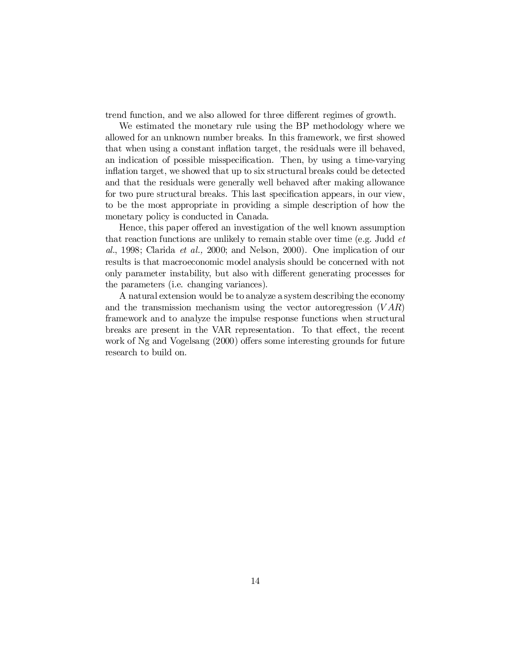trend function, and we also allowed for three different regimes of growth.

We estimated the monetary rule using the BP methodology where we allowed for an unknown number breaks. In this framework, we first showed that when using a constant inflation target, the residuals were ill behaved, an indication of possible misspecification. Then, by using a time-varying inflation target, we showed that up to six structural breaks could be detected and that the residuals were generally well behaved after making allowance for two pure structural breaks. This last specification appears, in our view, to be the most appropriate in providing a simple description of how the monetary policy is conducted in Canada.

Hence, this paper offered an investigation of the well known assumption that reaction functions are unlikely to remain stable over time (e.g. Judd  $et$ al., 1998; Clarida et al., 2000; and Nelson, 2000). One implication of our results is that macroeconomic model analysis should be concerned with not only parameter instability, but also with different generating processes for the parameters (i.e. changing variances).

A natural extension would be to analyze a system describing the economy and the transmission mechanism using the vector autoregression  $(VAR)$ framework and to analyze the impulse response functions when structural breaks are present in the VAR representation. To that effect, the recent work of Ng and Vogelsang (2000) offers some interesting grounds for future research to build on.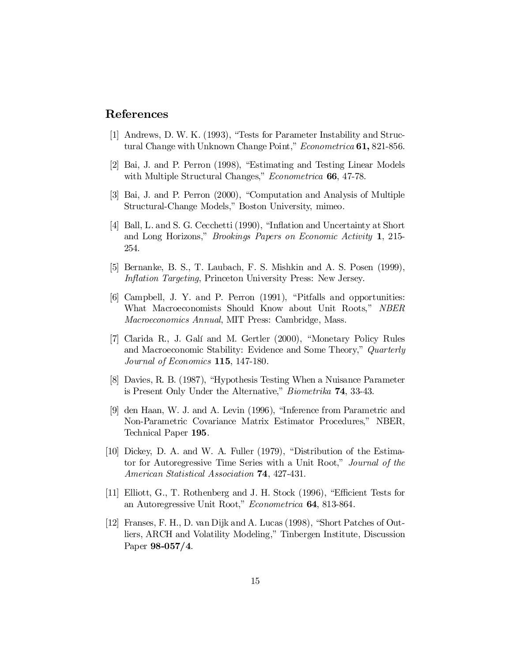## References

- [1] Andrews, D. W. K. (1993), "Tests for Parameter Instability and Structural Change with Unknown Change Point," Econometrica 61, 821-856.
- [2] Bai, J. and P. Perron (1998), "Estimating and Testing Linear Models with Multiple Structural Changes," *Econometrica* 66, 47-78.
- [3] Bai, J. and P. Perron (2000), "Computation and Analysis of Multiple Structural-Change Models," Boston University, mimeo.
- [4] Ball, L. and S. G. Cecchetti (1990), "Inflation and Uncertainty at Short and Long Horizons," Brookings Papers on Economic Activity 1, 215- 254.
- [5] Bernanke, B. S., T. Laubach, F. S. Mishkin and A. S. Posen (1999), Inflation Targeting, Princeton University Press: New Jersey.
- [6] Campbell, J. Y. and P. Perron (1991), "Pitfalls and opportunities: What Macroeconomists Should Know about Unit Roots," NBER Macroeconomics Annual, MIT Press: Cambridge, Mass.
- [7] Clarida R., J. Galí and M. Gertler (2000), "Monetary Policy Rules and Macroeconomic Stability: Evidence and Some Theory," Quarterly Journal of Economics 115, 147-180.
- [8] Davies, R. B. (1987), "Hypothesis Testing When a Nuisance Parameter is Present Only Under the Alternative," Biometrika 74, 33-43.
- [9] den Haan, W. J. and A. Levin (1996), "Inference from Parametric and Non-Parametric Covariance Matrix Estimator Procedures," NBER, Technical Paper 195.
- [10] Dickey, D. A. and W. A. Fuller (1979), "Distribution of the Estimator for Autoregressive Time Series with a Unit Root," Journal of the American Statistical Association 74, 427-431.
- [11] Elliott, G., T. Rothenberg and J. H. Stock (1996), "Efficient Tests for an Autoregressive Unit Root," Econometrica 64, 813-864.
- [12] Franses, F. H., D. van Dijk and A. Lucas (1998), "Short Patches of Outliers, ARCH and Volatility Modeling," Tinbergen Institute, Discussion Paper 98-057/4.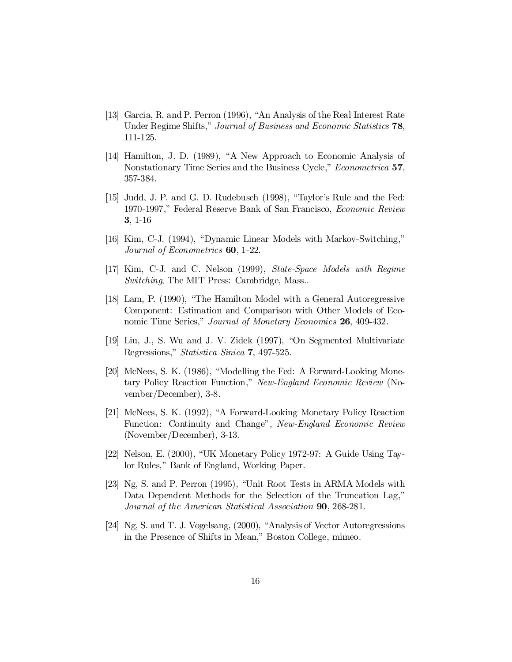- [13] Garcia, R. and P. Perron (1996), "An Analysis of the Real Interest Rate Under Regime Shifts," Journal of Business and Economic Statistics 78, 111-125.
- [14] Hamilton, J. D. (1989), "A New Approach to Economic Analysis of Nonstationary Time Series and the Business Cycle," *Econometrica* 57, 357-384.
- [15] Judd, J. P. and G. D. Rudebusch (1998), "Taylor's Rule and the Fed: 1970-1997," Federal Reserve Bank of San Francisco, Economic Review 3, 1-16
- [16] Kim, C-J. (1994), "Dynamic Linear Models with Markov-Switching," Journal of Econometrics 60, 1-22.
- [17] Kim, C-J. and C. Nelson (1999), State-Space Models with Regime Switching, The MIT Press: Cambridge, Mass...
- [18] Lam, P. (1990), "The Hamilton Model with a General Autoregressive Component: Estimation and Comparison with Other Models of Economic Time Series," Journal of Monetary Economics 26, 409-432.
- [19] Liu, J., S. Wu and J. V. Zidek (1997), "On Segmented Multivariate Regressions," Statistica Sinica 7, 497-525.
- [20] McNees, S. K. (1986), "Modelling the Fed: A Forward-Looking Monetary Policy Reaction Function," New-England Economic Review (November/December), 3-8.
- [21] McNees, S. K. (1992), "A Forward-Looking Monetary Policy Reaction Function: Continuity and Change", New-England Economic Review (November/December), 3-13.
- [22] Nelson, E. (2000), "UK Monetary Policy 1972-97: A Guide Using Taylor Rules," Bank of England, Working Paper.
- [23] Ng, S. and P. Perron (1995), "Unit Root Tests in ARMA Models with Data Dependent Methods for the Selection of the Truncation Lag," Journal of the American Statistical Association 90, 268-281.
- [24] Ng, S. and T. J. Vogelsang, (2000), "Analysis of Vector Autoregressions in the Presence of Shifts in Mean," Boston College, mimeo.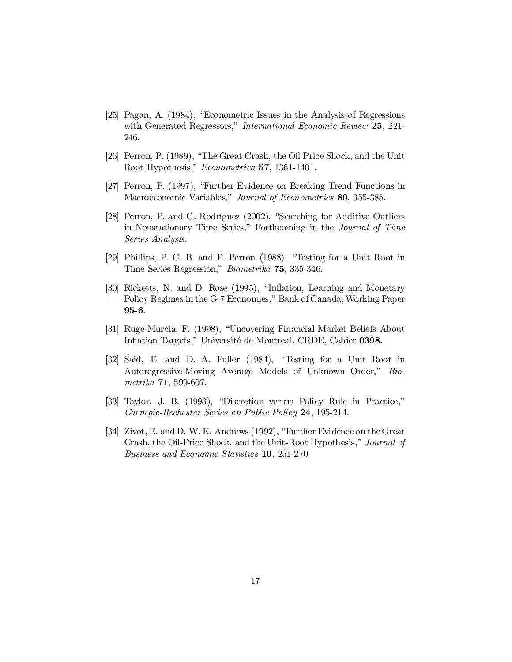- [25] Pagan, A. (1984), "Econometric Issues in the Analysis of Regressions with Generated Regressors," *International Economic Review* 25, 221-246.
- [26] Perron, P. (1989), "The Great Crash, the Oil Price Shock, and the Unit Root Hypothesis," Econometrica 57, 1361-1401.
- [27] Perron, P. (1997), "Further Evidence on Breaking Trend Functions in Macroeconomic Variables," Journal of Econometrics 80, 355-385.
- [28] Perron, P. and G. Rodríguez (2002), "Searching for Additive Outliers in Nonstationary Time Series," Forthcoming in the Journal of Time Series Analysis.
- [29] Phillips, P. C. B. and P. Perron (1988), "Testing for a Unit Root in Time Series Regression," Biometrika 75, 335-346.
- [30] Ricketts, N. and D. Rose (1995), "Inflation, Learning and Monetary Policy Regimes in the G-7 Economies," Bank of Canada, Working Paper 95-6.
- [31] Ruge-Murcia, F. (1998), "Uncovering Financial Market Beliefs About Inflation Targets," Université de Montreal, CRDE, Cahier 0398.
- [32] Said, E. and D. A. Fuller (1984), "Testing for a Unit Root in Autoregressive-Moving Average Models of Unknown Order," Biometrika 71, 599-607.
- [33] Taylor, J. B. (1993), "Discretion versus Policy Rule in Practice," Carnegie-Rochester Series on Public Policy 24, 195-214.
- [34] Zivot, E. and D. W. K. Andrews (1992), "Further Evidence on theGreat Crash, the Oil-Price Shock, and the Unit-Root Hypothesis," Journal of Business and Economic Statistics 10, 251-270.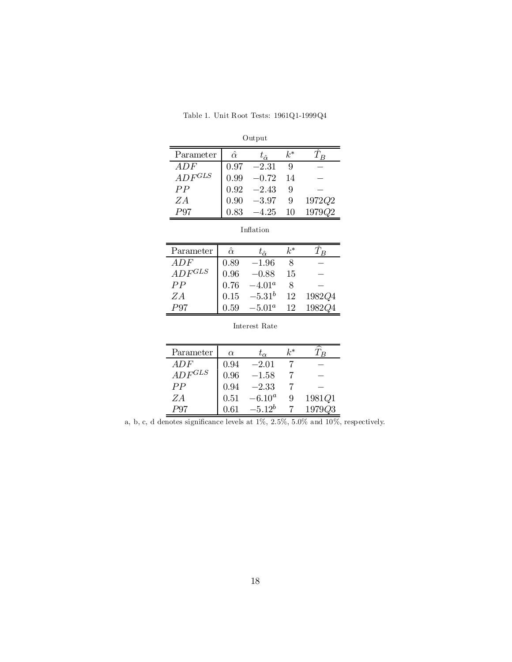| Output      |                |                    |       |        |  |  |  |
|-------------|----------------|--------------------|-------|--------|--|--|--|
| Parameter   | $\hat{\alpha}$ | $t_{\hat{\alpha}}$ | $k^*$ |        |  |  |  |
| ADF         | 0.97           | $-2.31$            | 9     |        |  |  |  |
| $ADF^{GLS}$ | 0.99           | $-0.72$            | 14    |        |  |  |  |
| PP          | 0.92           | $-2.43$            | 9     |        |  |  |  |
| ZA          | 0.90           | $-3.97$            | 9     | 1972Q2 |  |  |  |
|             | 0 83           | -4.25              | 10    | 1979Q2 |  |  |  |

|--|--|

| Inflation |
|-----------|
|           |
|           |

| Parameter   | $\hat{\alpha}$ | $t_{\hat{\alpha}}$ | k* |        |
|-------------|----------------|--------------------|----|--------|
| ADF         | 0.89           | $-1.96$            |    |        |
| $ADF^{GLS}$ | 0.96           | $-0.88$            | 15 |        |
| PP          | 0.76           | $-4.01^{\circ}$    |    |        |
| ZΑ          | 0.15           | $-5.31^{b}$        | 12 | 1982Q4 |
|             | 0.59           | $-5.01^a$          | 12 | 1982Q4 |

| Interest Rate |  |
|---------------|--|
|---------------|--|

| Parameter   | $\alpha$ | $t_{\alpha}$ | $k^*$ |        |
|-------------|----------|--------------|-------|--------|
| ADF         | 0.94     | $-2.01$      |       |        |
| $ADF^{GLS}$ | 0.96     | $-1.58$      |       |        |
| PP          | 0.94     | $-2.33$      |       |        |
| ZΑ          | 0.51     | $-6.10^a$    | 9     | 1981Q1 |
|             |          | $-5.12^b$    |       |        |

a, b, c, d denotes significance levels at  $1\%$ ,  $2.5\%$ ,  $5.0\%$  and  $10\%$ , respectively.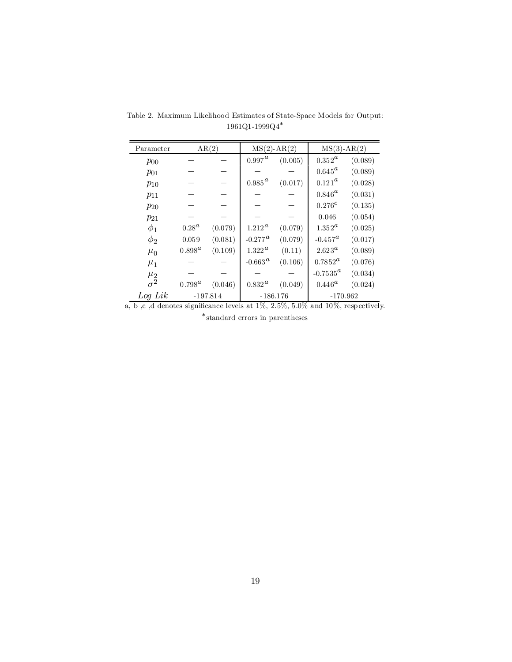| Parameter                | AR(2)                    |         | $MS(2)$ -AR $(2)$            |            | $MS(3)$ -AR $(2)$       |         |
|--------------------------|--------------------------|---------|------------------------------|------------|-------------------------|---------|
| $p_{00}$                 |                          |         | $0.997^{\textcolor{red}{a}}$ | (0.005)    | $0.352^a$               | (0.089) |
| $p_{01}$                 |                          |         |                              |            | $0.645^{\rm a}$         | (0.089) |
| $p_{10}$                 |                          |         | $0.985^{\textstyle a}$       | (0.017)    | $0.121^{\rm \alpha}$    | (0.028) |
| $p_{11}$                 |                          |         |                              |            | $0.846^{\scriptsize a}$ | (0.031) |
| $p_{20}$                 |                          |         |                              |            | $0.276^{c}$             | (0.135) |
| $p_{21}$                 |                          |         |                              |            | 0.046                   | (0.054) |
| $\phi_1$                 | $0.28^{\alpha}$          | (0.079) | $1.212^{\rm a}$              | (0.079)    | $1.352^{\rm a}$         | (0.025) |
| $\phi_2$                 | 0.059                    | (0.081) | $-0.277$ <sup>a</sup>        | (0.079)    | $-0.457^a$              | (0.017) |
| $\mu_0$                  | $0.898^a$                | (0.109) | $1.322^{\,a}$                | (0.11)     | $2.623^a$               | (0.089) |
| $\mu_1$                  |                          |         | -0.663 $^a$                  | (0.106)    | $0.7852^{\rm a}$        | (0.076) |
|                          |                          |         |                              |            | $-0.7535^{\alpha}$      | (0.034) |
| $\frac{\mu_2}{\sigma^2}$ | $0.798^{\rm a}$          | (0.046) | $0.832^{\textcolor{red}{a}}$ | (0.049)    | $0.446^{\rm a}$         | (0.024) |
| $Log\, Lik$              | $-197.814$<br>$-186.176$ |         |                              | $-170.962$ |                         |         |

Table 2. Maximum Likelihood Estimates of State-Space Models for Output:  $1961\mathrm{Q}$ 1-1999 $\mathrm{Q}4^*$ 

a, b ,c ,d denotes significance levels at 1%, 2.5%, 5.0% and 10%, respectively. ¤ standard errors in parentheses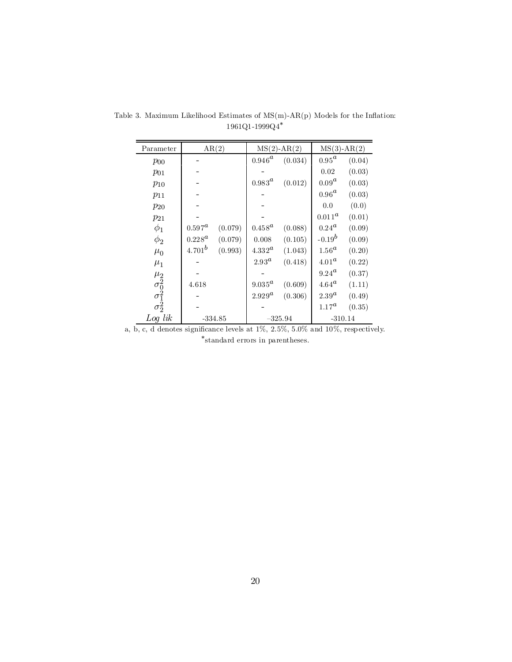| Parameter                                                                  |                         | AR(2)     |                 | $MS(2)$ -AR $(2)$ | $MS(3)$ -AR $(2)$      |        |
|----------------------------------------------------------------------------|-------------------------|-----------|-----------------|-------------------|------------------------|--------|
| $p_{00}$                                                                   |                         |           | $0.946^{\rm a}$ | (0.034)           | $0.95^{\scriptsize a}$ | (0.04) |
| $p_{01}$                                                                   |                         |           |                 |                   | 0.02                   | (0.03) |
| $p_{10}$                                                                   |                         |           | $0.983^a$       | (0.012)           | $0.09^a$               | (0.03) |
| $p_{11}$                                                                   |                         |           |                 |                   | $0.96^{\scriptsize a}$ | (0.03) |
| $p_{20}$                                                                   |                         |           |                 |                   | 0.0                    | (0.0)  |
| $p_{21}$                                                                   |                         |           |                 |                   | $0.011^a$              | (0.01) |
| $\phi_1$                                                                   | $0.597^{\scriptsize a}$ | (0.079)   | $0.458^a$       | (0.088)           | $0.24^{\alpha}$        | (0.09) |
| $\phi_2$                                                                   | $0.228^{\rm a}$         | (0.079)   | 0.008           | (0.105)           | $-0.19^{b}$            | (0.09) |
| $\mu_0$                                                                    | $4.701^{b}$             | (0.993)   | $4.332^{\rm a}$ | (1.043)           | $1.56^a$               | (0.20) |
| $\mu_1$                                                                    |                         |           | $2.93^a$        | (0.418)           | $4.01^a$               | (0.22) |
|                                                                            |                         |           |                 |                   | $9.24^{\rm a}$         | (0.37) |
|                                                                            | 4.618                   |           | $9.035^{\rm a}$ | (0.609)           | $4.64^{\rm a}$         | (1.11) |
| $\mu_2$ <sub><math>\sigma_0^2</math></sub><br>$\sigma_1^2$<br>$\sigma_2^2$ |                         |           | $2.929^a$       | (0.306)           | $2.39^a$               | (0.49) |
|                                                                            |                         |           |                 |                   | $1.17^a$               | (0.35) |
| $Log\, lik$                                                                |                         | $-334.85$ |                 | $-325.94$         | $-310.14$              |        |

Table 3. Maximum Likelihood Estimates of  $MS(m)-AR(p)$  Models for the Inflation:  $1961\mathrm{Q}$ 1-1999 $\mathrm{Q}4^*$ 

a, b, c, d denotes significance levels at 1%, 2.5%, 5.0% and 10%, respectively. \*standard errors in parentheses.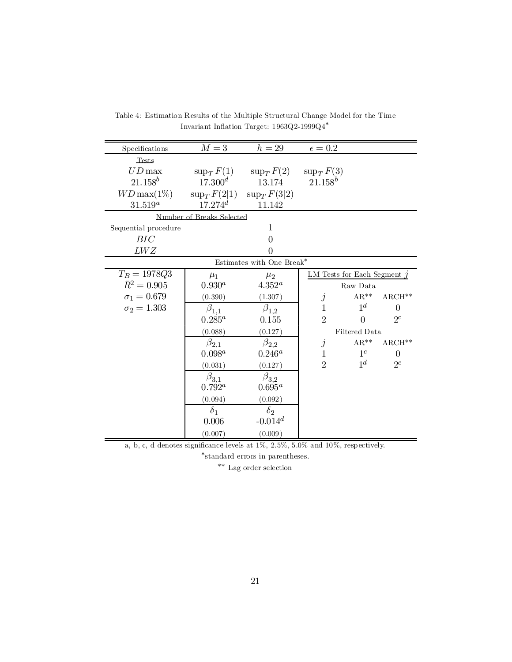| Specifications       | $M=3$                     | $h=29$                                    | $\epsilon=0.2$                |                    |          |
|----------------------|---------------------------|-------------------------------------------|-------------------------------|--------------------|----------|
| Tests                |                           |                                           |                               |                    |          |
| $UD$ max             |                           | $\sup_T F(1)$ $\sup_T F(2)$ $\sup_T F(3)$ |                               |                    |          |
| $21.158^b$           | $17.300^{d}$              | 13.174                                    | $21.158^b$                    |                    |          |
| $WD\max(1\%)$        | $\sup_T F(2 1)$           | $\sup_T F(3 2)$                           |                               |                    |          |
| $31.519^a$           | $17.274^{d}$              | 11.142                                    |                               |                    |          |
|                      | Number of Breaks Selected |                                           |                               |                    |          |
| Sequential procedure |                           | 1                                         |                               |                    |          |
| BIC                  |                           | 0                                         |                               |                    |          |
| LWZ                  |                           | 0                                         |                               |                    |          |
|                      |                           | Estimates with One Break*                 |                               |                    |          |
| $T_B = 1978Q3$       | $\mu_1$                   | $\mu_2$                                   | LM Tests for Each Segment $j$ |                    |          |
| $\bar{R}^2 = 0.905$  | $0.930^a$                 | $4.352^a$                                 |                               | Raw Data           |          |
| $\sigma_1 = 0.679$   | (0.390)                   | (1.307)                                   | $\dot{j}$                     | $AR**$             | $ARCH**$ |
| $\sigma_2 = 1.303$   | $\beta_{1,1}$             | $\beta_{1,2}$                             | $\mathbf{1}$                  | $1^d$              | $\theta$ |
|                      | $0.285^a$                 | 0.155                                     | $\overline{2}$                | $\Omega$           | $2^c$    |
|                      | (0.088)                   | (0.127)                                   |                               | Filtered Data      |          |
|                      | $\beta_{2,1}$             | $\beta_{2,2}$                             | $\dot{j}$                     | $\mathrm{AR}^{**}$ | $ARCH**$ |
|                      | $0.098^a$                 | $0.246^a$                                 | $\mathbf{1}$                  | 1 <sup>c</sup>     | $\Omega$ |
|                      | (0.031)                   | (0.127)                                   | $\overline{2}$                | 1 <sup>d</sup>     | $2^c$    |
|                      | $\beta_{3,1}$             | $\beta_{3,2}$                             |                               |                    |          |
|                      | $0.792^a$                 | $0.695^a$                                 |                               |                    |          |
|                      | (0.094)                   | (0.092)                                   |                               |                    |          |
|                      | $\delta_1$                | $\delta_2$                                |                               |                    |          |
|                      | 0.006                     | $-0.014$ <sup>d</sup>                     |                               |                    |          |
|                      | (0.007)                   | (0.009)                                   |                               |                    |          |

Table 4: Estimation Results of the Multiple Structural Change Model for the Time Invariant Inflation Target:  $1963Q2$ -1999 $Q4^*$ 

a, b, c, d denotes significance levels at  $1\%$ ,  $2.5\%$ ,  $5.0\%$  and  $10\%$ , respectively.

¤ standard errors in parentheses.

 $\rm ^{\ast\ast}$  Lag order selection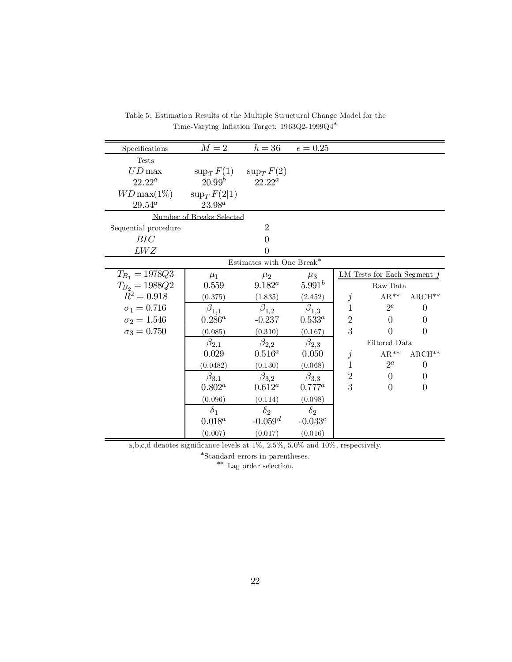| Specifications       | $M=2$                     | $h=36$                    | $\epsilon = 0.25$ |              |                               |                |
|----------------------|---------------------------|---------------------------|-------------------|--------------|-------------------------------|----------------|
| <b>Tests</b>         |                           |                           |                   |              |                               |                |
| $UD$ max             | $\sup_T F(1)$             | $\sup_T F(2)$             |                   |              |                               |                |
| $22.22^a$            | $20.99^b$                 | $22.22^a$                 |                   |              |                               |                |
| $WD$ max $(1\%)$     | $\sup_T F(2 1)$           |                           |                   |              |                               |                |
| $29.54^a$            | $23.98^{a}$               |                           |                   |              |                               |                |
|                      | Number of Breaks Selected |                           |                   |              |                               |                |
| Sequential procedure |                           | $\overline{2}$            |                   |              |                               |                |
| BIC                  |                           | 0                         |                   |              |                               |                |
| LWZ                  |                           | 0                         |                   |              |                               |                |
|                      |                           | Estimates with One Break* |                   |              |                               |                |
| $T_{B_1} = 1978Q3$   | $\mu_1$                   | $\mu_2$                   | $\mu_3$           |              | LM Tests for Each Segment $j$ |                |
| $T_{B_2} = 1988Q2$   | 0.559                     | $9.182^a$                 | $5.991^{b}$       |              | Raw Data                      |                |
| $\bar{R}^2 = 0.918$  | (0.375)                   | (1.835)                   | (2.452)           | $\dot{j}$    | $\mathrm{AR}^{**}$            | $ARCH**$       |
| $\sigma_1 = 0.716$   | $\beta_{1,1}$             | $\beta_{1,2}$             | $\beta_{1,3}$     | $\mathbf{1}$ | $2^c$                         | $\overline{0}$ |
| $\sigma_2 = 1.546$   | $0.286^a$                 | $-0.237$                  | $0.533^a$         | $\sqrt{2}$   | $\theta$                      | $\theta$       |
| $\sigma_3 = 0.750$   | (0.085)                   | (0.310)                   | (0.167)           | 3            | $\Omega$                      | $\theta$       |
|                      | $\beta_{2,1}$             | $\beta_{2,2}$             | $\beta_{2,3}$     |              | Filtered Data                 |                |
|                      | 0.029                     | $0.516^{a}$               | 0.050             | Ĵ            | $AR**$                        | $ARCH**$       |
|                      | (0.0482)                  | (0.130)                   | (0.068)           | $\mathbf{1}$ | $2^a$                         | $\overline{0}$ |
|                      | $\beta_{3,1}$             | $\beta_{3,2}$             | $\beta_{3,3}$     | $\sqrt{2}$   | $\Omega$                      | $\overline{0}$ |
|                      | $0.802^a$                 | $0.612^a$                 | $0.777^a$         | 3            | $\theta$                      | $\theta$       |
|                      | (0.096)                   | (0.114)                   | (0.098)           |              |                               |                |
|                      | $\delta_1$                | $\delta_2$                | $\delta_2$        |              |                               |                |
|                      | $0.018^a$                 | $-0.059d$                 | $-0.033c$         |              |                               |                |
|                      | (0.007)                   | (0.017)                   | (0.016)           |              |                               |                |

Table 5: Estimation Results of the Multiple Structural Change Model for the Time-Varying Inflation Target: 1963Q2-1999Q4<sup>\*</sup>

a,b,c,d denotes significance levels at  $1\%$ ,  $2.5\%$ ,  $5.0\%$  and  $10\%$ , respectively.

¤ Standard errors in parentheses.

\*\* Lag order selection.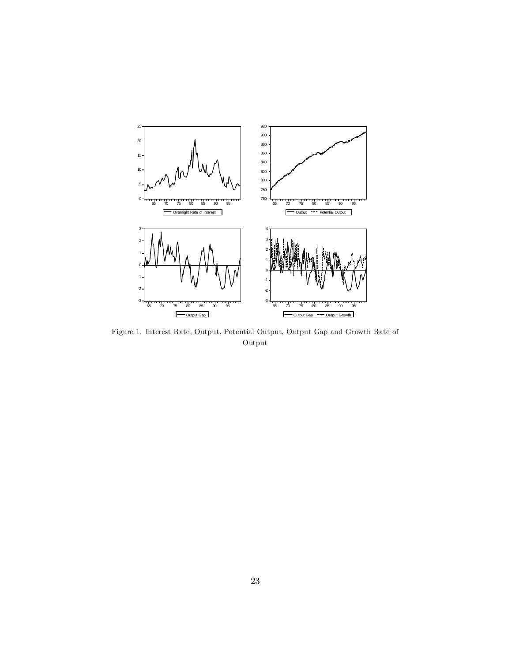

Figure 1. Interest Rate, Output, Potential Output, Output Gap and Growth Rate of Output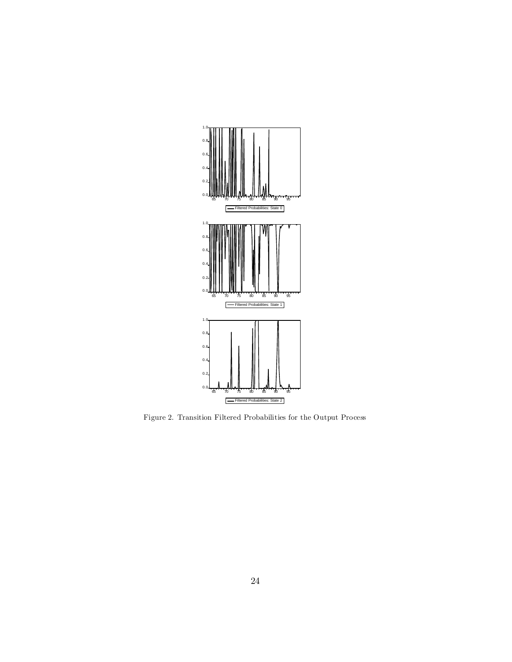

Figure 2. Transition Filtered Probabilities for the Output Process